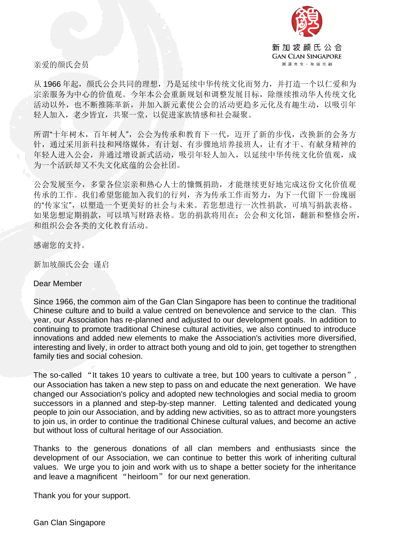

亲爱的颜氏会员

从 1966 年起,颜氏公会共同的理想,乃是延续中华传统文化而努力,并打造一个以仁爱和为 宗亲服务为中心的价值观。今年本公会重新规划和调整发展目标,除继续推动华人传统文化 活动以外,也不断推陈革新,并加入新元素使公会的活动更趋多元化及有趣生动,以吸引年 轻人加入,老少皆宜,共聚一堂,以促进家族情感和社会凝聚。

所谓"十年树木,百年树人",公会为传承和教育下一代,迈开了新的步伐,改换新的会务方 针,通过采用新科技和网络媒体,有计划、有步骤地培养接班人,让有才干、有献身精神的 年轻人进入公会,并通过增设新式活动,吸引年轻人加入,以延续中华传统文化价值观,成 为一个活跃却又不失文化底蕴的公会社团。

公会发展至今,多蒙各位宗亲和热心人士的慷慨捐助,才能继续更好地完成这份文化价值观 传承的工作。我们希望您能加入我们的行列,齐为传承工作而努力,为下一代留下一份瑰丽 的"传家宝",以塑造一个更美好的社会与未来。若您想进行一次性捐款,可填写捐款表格。 如果您想定期捐款,可以填写财路表格。您的捐款将用在:公会和文化馆,翻新和整修会所, 和组织公会各类的文化教育活动。

感谢您的支持。

新加坡颜氏公会 谨启

Dear Member

Since 1966, the common aim of the Gan Clan Singapore has been to continue the traditional Chinese culture and to build a value centred on benevolence and service to the clan. This year, our Association has re-planned and adjusted to our development goals. In addition to continuing to promote traditional Chinese cultural activities, we also continued to introduce innovations and added new elements to make the Association's activities more diversified, interesting and lively, in order to attract both young and old to join, get together to strengthen family ties and social cohesion.

The so-called "It takes 10 years to cultivate a tree, but 100 years to cultivate a person", our Association has taken a new step to pass on and educate the next generation. We have changed our Association's policy and adopted new technologies and social media to groom successors in a planned and step-by-step manner. Letting talented and dedicated young people to join our Association, and by adding new activities, so as to attract more youngsters to join us, in order to continue the traditional Chinese cultural values, and become an active but without loss of cultural heritage of our Association.

Thanks to the generous donations of all clan members and enthusiasts since the development of our Association, we can continue to better this work of inheriting cultural values. We urge you to join and work with us to shape a better society for the inheritance and leave a magnificent "heirloom" for our next generation.

Thank you for your support.

Gan Clan Singapore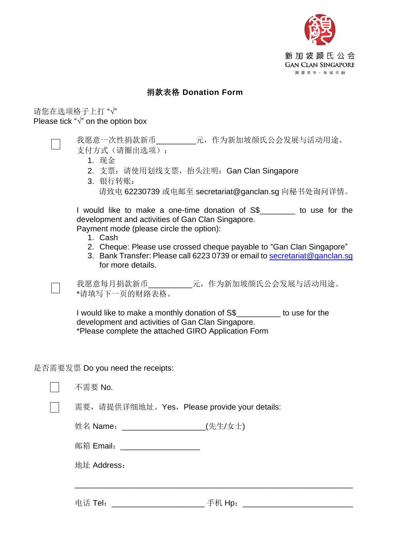

## 捐款表格 **Donation Form**

## 请您在选项格子上打 "√" Please tick "√" on the option box

我愿意一次性捐款新币\_\_\_\_\_\_\_\_\_\_\_元,作为新加坡颜氏公会发展与活动用途。 支付方式(请圈出选项):

- 1. 现金
- 2. 支票: 请使用划线支票, 抬头注明: Gan Clan Singapore
- 3. 银行转账: 请致电 62230739 或电邮至 secretariat@ganclan.sg 向秘书处询问详情。

I would like to make a one-time donation of S\$\_\_\_\_\_\_\_\_ to use for the development and activities of Gan Clan Singapore. Payment mode (please circle the option):

- 1. Cash
- 2. Cheque: Please use crossed cheque payable to "Gan Clan Singapore"
- 3. Bank Transfer: Please call 6223 0739 or email to [secretariat@ganclan.sg](mailto:secretariat@ganclan.sg) for more details.

我愿意每月捐款新币\_\_\_\_\_\_\_\_\_\_\_元,作为新加坡颜氏公会发展与活动用途。 \*请填写下一页的财路表格。

I would like to make a monthly donation of S\$\_\_\_\_\_\_\_\_\_\_ to use for the development and activities of Gan Clan Singapore. \*Please complete the attached GIRO Application Form

是否需要发票 Do you need the receipts:

| 不需要 No.                                               |        |
|-------------------------------------------------------|--------|
| 需要, 请提供详细地址。Yes, Please provide your details:         |        |
|                                                       |        |
| 邮箱 Email: ____________________                        |        |
| 地址 Address:                                           |        |
|                                                       |        |
| 电话 Tel:<br><u> 1980 - Jan Samuel Barbara, poeta e</u> | 手机 Hp: |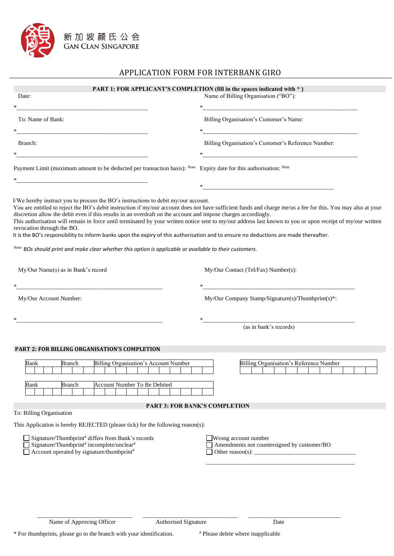

## APPLICATION FORM FOR INTERBANK GIRO

| Date:                                                                                                                                                                                                                                                                                                                                                                                            | Name of Billing Organisation ("BO"):<br><u> 1989 - Johann Barbara, martxa alemaniar a</u><br>$\ast$                                                                                                                                                                                                                        |
|--------------------------------------------------------------------------------------------------------------------------------------------------------------------------------------------------------------------------------------------------------------------------------------------------------------------------------------------------------------------------------------------------|----------------------------------------------------------------------------------------------------------------------------------------------------------------------------------------------------------------------------------------------------------------------------------------------------------------------------|
| To: Name of Bank:                                                                                                                                                                                                                                                                                                                                                                                | Billing Organisation's Customer's Name:                                                                                                                                                                                                                                                                                    |
| Branch:                                                                                                                                                                                                                                                                                                                                                                                          | Billing Organisation's Customer's Reference Number:                                                                                                                                                                                                                                                                        |
| Payment Limit (maximum amount to be deducted per transaction basis): Note Expiry date for this authorisation: Note                                                                                                                                                                                                                                                                               |                                                                                                                                                                                                                                                                                                                            |
| <u> 1980 - Jan Barbara, margaret eta idazlea (h. 1980).</u>                                                                                                                                                                                                                                                                                                                                      | *                                                                                                                                                                                                                                                                                                                          |
| discretion allow the debit even if this results in an overdraft on the account and impose charges accordingly.<br>revocation through the BO.<br>It is the BO's responsibility to inform banks upon the expiry of this authorisation and to ensure no deductions are made thereafter.<br>Note: BOs should print and make clear whether this option is applicable or available to their customers. | You are entitled to reject the BO's debit instruction if my/our account does not have sufficient funds and charge me/us a fee for this. You may also at your<br>This authorisation will remain in force until terminated by your written notice sent to my/our address last known to you or upon receipt of my/our written |
| My/Our Name(s) as in Bank's record                                                                                                                                                                                                                                                                                                                                                               | My/Our Contact (Tel/Fax) Number(s):                                                                                                                                                                                                                                                                                        |
|                                                                                                                                                                                                                                                                                                                                                                                                  | *                                                                                                                                                                                                                                                                                                                          |
| My/Our Account Number:                                                                                                                                                                                                                                                                                                                                                                           | My/Our Company Stamp/Signature(s)/Thumbprint(s)*:                                                                                                                                                                                                                                                                          |
|                                                                                                                                                                                                                                                                                                                                                                                                  | (as in bank's records)                                                                                                                                                                                                                                                                                                     |
| PART 2: FOR BILLING ORGANISATION'S COMPLETION                                                                                                                                                                                                                                                                                                                                                    |                                                                                                                                                                                                                                                                                                                            |
| Billing Organisation's Account Number<br>Bank<br>Branch<br>Account Number To Be Debited<br>Bank<br>Branch                                                                                                                                                                                                                                                                                        | Billing Organisation's Reference Number                                                                                                                                                                                                                                                                                    |
|                                                                                                                                                                                                                                                                                                                                                                                                  |                                                                                                                                                                                                                                                                                                                            |
| To: Billing Organisation                                                                                                                                                                                                                                                                                                                                                                         | <b>PART 3: FOR BANK'S COMPLETION</b>                                                                                                                                                                                                                                                                                       |
| This Application is hereby REJECTED (please tick) for the following reason(s):                                                                                                                                                                                                                                                                                                                   |                                                                                                                                                                                                                                                                                                                            |
| Signature/Thumbprint# differs from Bank's records<br>Signature/Thumbprint# incomplete/unclear#<br>Account operated by signature/thumbprint <sup>#</sup>                                                                                                                                                                                                                                          | Wrong account number<br>Amendments not countersigned by customer/BO<br>Other reason(s): $\frac{1}{\sqrt{1-\frac{1}{2}}}\left  \frac{1}{2} \right $                                                                                                                                                                         |
|                                                                                                                                                                                                                                                                                                                                                                                                  |                                                                                                                                                                                                                                                                                                                            |
|                                                                                                                                                                                                                                                                                                                                                                                                  |                                                                                                                                                                                                                                                                                                                            |

\_\_\_\_\_\_\_\_\_\_\_\_\_\_\_\_\_\_\_\_\_\_\_\_\_\_\_\_\_\_\_\_ \_\_\_\_\_\_\_\_\_\_\_\_\_\_\_\_\_\_\_\_\_\_\_\_\_\_\_\_\_\_\_\_ \_\_\_\_\_\_\_\_\_\_\_\_\_\_\_\_\_\_\_\_\_\_\_\_\_\_\_\_\_\_\_

\* For thumbprints, please go to the branch with your identification. # Please delete where inapplicable